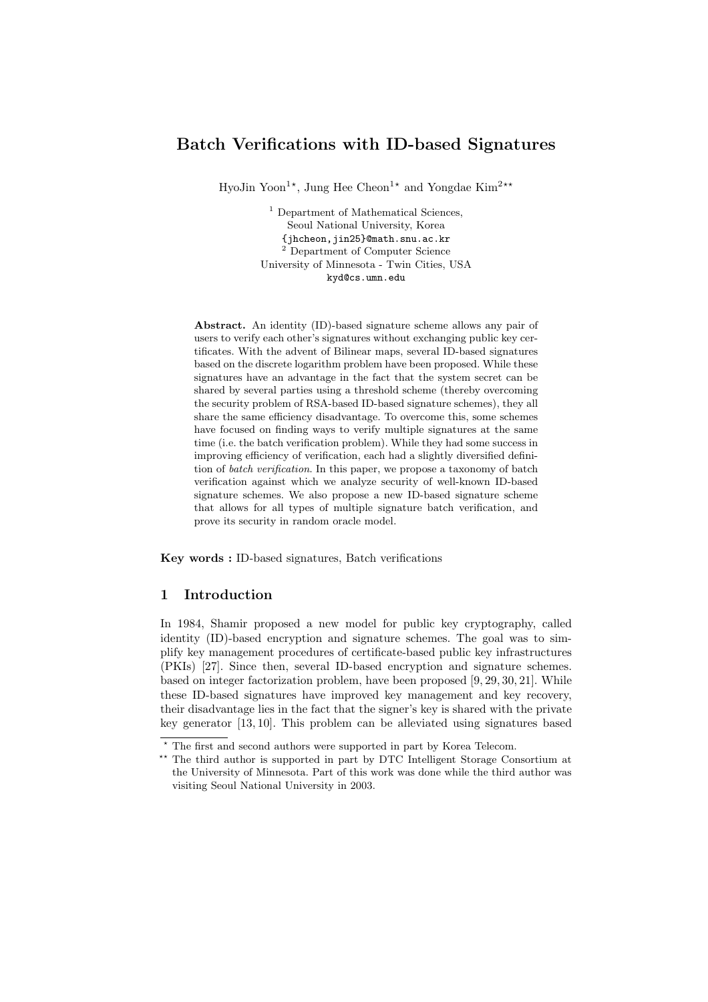# Batch Verifications with ID-based Signatures

HyoJin Yoon<sup>1\*</sup>, Jung Hee Cheon<sup>1\*</sup> and Yongdae Kim<sup>2\*\*</sup>

<sup>1</sup> Department of Mathematical Sciences, Seoul National University, Korea {jhcheon,jin25}@math.snu.ac.kr <sup>2</sup> Department of Computer Science University of Minnesota - Twin Cities, USA kyd@cs.umn.edu

Abstract. An identity (ID)-based signature scheme allows any pair of users to verify each other's signatures without exchanging public key certificates. With the advent of Bilinear maps, several ID-based signatures based on the discrete logarithm problem have been proposed. While these signatures have an advantage in the fact that the system secret can be shared by several parties using a threshold scheme (thereby overcoming the security problem of RSA-based ID-based signature schemes), they all share the same efficiency disadvantage. To overcome this, some schemes have focused on finding ways to verify multiple signatures at the same time (i.e. the batch verification problem). While they had some success in improving efficiency of verification, each had a slightly diversified definition of batch verification. In this paper, we propose a taxonomy of batch verification against which we analyze security of well-known ID-based signature schemes. We also propose a new ID-based signature scheme that allows for all types of multiple signature batch verification, and prove its security in random oracle model.

Key words : ID-based signatures, Batch verifications

## 1 Introduction

In 1984, Shamir proposed a new model for public key cryptography, called identity (ID)-based encryption and signature schemes. The goal was to simplify key management procedures of certificate-based public key infrastructures (PKIs) [27]. Since then, several ID-based encryption and signature schemes. based on integer factorization problem, have been proposed [9, 29, 30, 21]. While these ID-based signatures have improved key management and key recovery, their disadvantage lies in the fact that the signer's key is shared with the private key generator [13, 10]. This problem can be alleviated using signatures based

 $^{\star}$  The first and second authors were supported in part by Korea Telecom.

<sup>\*\*</sup> The third author is supported in part by DTC Intelligent Storage Consortium at the University of Minnesota. Part of this work was done while the third author was visiting Seoul National University in 2003.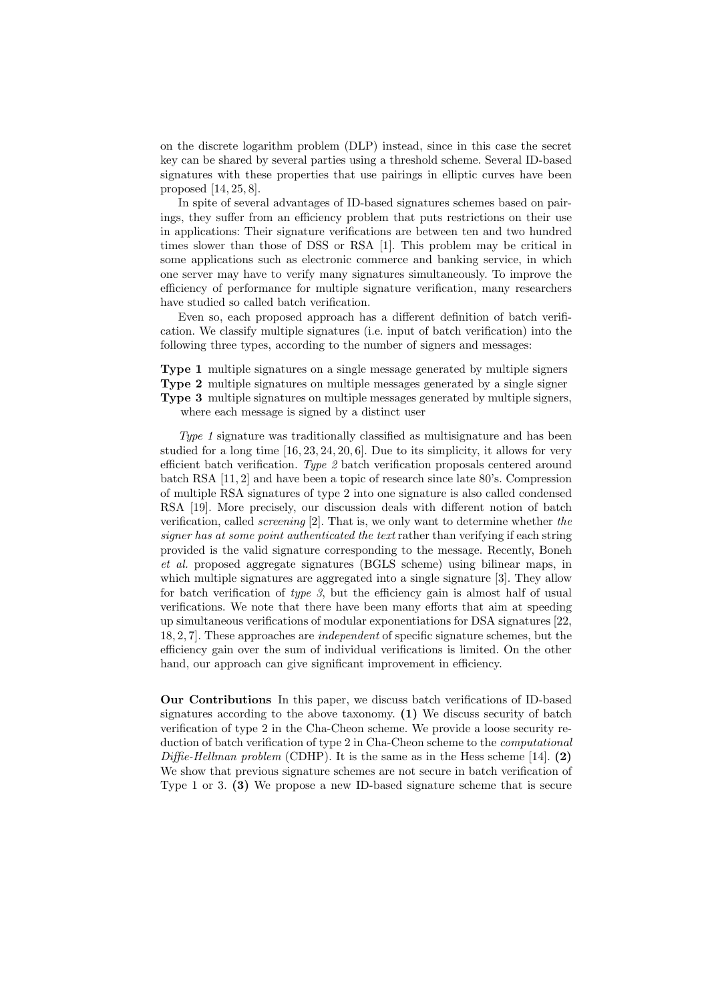on the discrete logarithm problem (DLP) instead, since in this case the secret key can be shared by several parties using a threshold scheme. Several ID-based signatures with these properties that use pairings in elliptic curves have been proposed [14, 25, 8].

In spite of several advantages of ID-based signatures schemes based on pairings, they suffer from an efficiency problem that puts restrictions on their use in applications: Their signature verifications are between ten and two hundred times slower than those of DSS or RSA [1]. This problem may be critical in some applications such as electronic commerce and banking service, in which one server may have to verify many signatures simultaneously. To improve the efficiency of performance for multiple signature verification, many researchers have studied so called batch verification.

Even so, each proposed approach has a different definition of batch verification. We classify multiple signatures (i.e. input of batch verification) into the following three types, according to the number of signers and messages:

Type 1 multiple signatures on a single message generated by multiple signers Type 2 multiple signatures on multiple messages generated by a single signer Type 3 multiple signatures on multiple messages generated by multiple signers, where each message is signed by a distinct user

Type 1 signature was traditionally classified as multisignature and has been studied for a long time [16, 23, 24, 20, 6]. Due to its simplicity, it allows for very efficient batch verification. Type 2 batch verification proposals centered around batch RSA [11, 2] and have been a topic of research since late 80's. Compression of multiple RSA signatures of type 2 into one signature is also called condensed RSA [19]. More precisely, our discussion deals with different notion of batch verification, called screening [2]. That is, we only want to determine whether the signer has at some point authenticated the text rather than verifying if each string provided is the valid signature corresponding to the message. Recently, Boneh et al. proposed aggregate signatures (BGLS scheme) using bilinear maps, in which multiple signatures are aggregated into a single signature [3]. They allow for batch verification of type  $\beta$ , but the efficiency gain is almost half of usual verifications. We note that there have been many efforts that aim at speeding up simultaneous verifications of modular exponentiations for DSA signatures [22, 18, 2, 7]. These approaches are independent of specific signature schemes, but the efficiency gain over the sum of individual verifications is limited. On the other hand, our approach can give significant improvement in efficiency.

Our Contributions In this paper, we discuss batch verifications of ID-based signatures according to the above taxonomy. (1) We discuss security of batch verification of type 2 in the Cha-Cheon scheme. We provide a loose security reduction of batch verification of type 2 in Cha-Cheon scheme to the computational Diffie-Hellman problem (CDHP). It is the same as in the Hess scheme [14]. (2) We show that previous signature schemes are not secure in batch verification of Type 1 or 3. (3) We propose a new ID-based signature scheme that is secure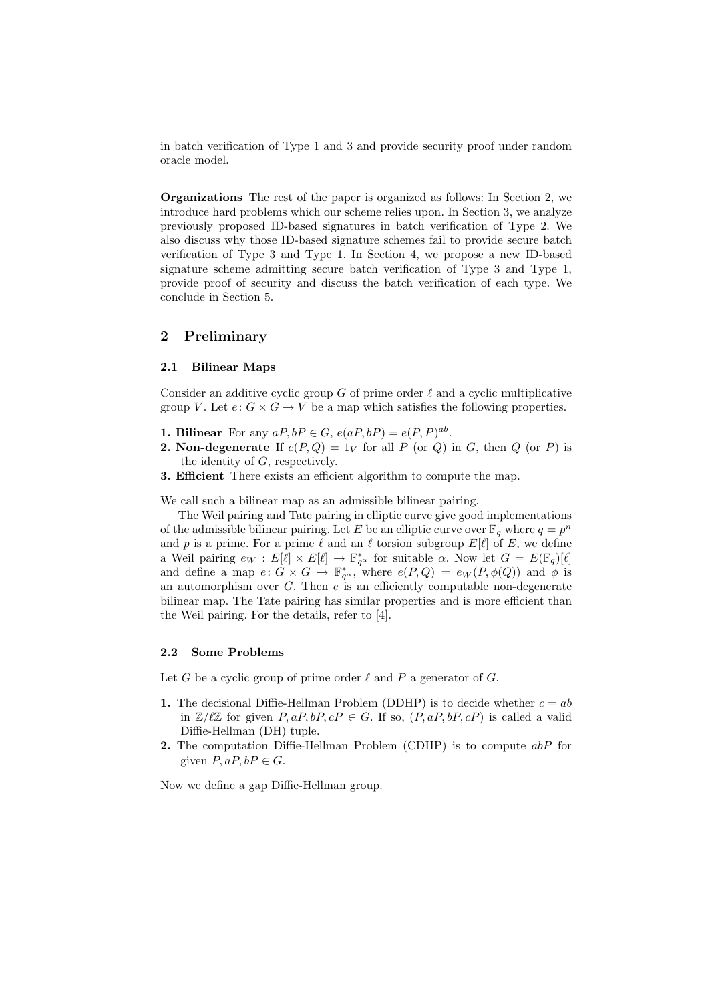in batch verification of Type 1 and 3 and provide security proof under random oracle model.

Organizations The rest of the paper is organized as follows: In Section 2, we introduce hard problems which our scheme relies upon. In Section 3, we analyze previously proposed ID-based signatures in batch verification of Type 2. We also discuss why those ID-based signature schemes fail to provide secure batch verification of Type 3 and Type 1. In Section 4, we propose a new ID-based signature scheme admitting secure batch verification of Type 3 and Type 1, provide proof of security and discuss the batch verification of each type. We conclude in Section 5.

## 2 Preliminary

## 2.1 Bilinear Maps

Consider an additive cyclic group G of prime order  $\ell$  and a cyclic multiplicative group V. Let  $e: G \times G \to V$  be a map which satisfies the following properties.

- **1. Bilinear** For any  $aP, bP \in G$ ,  $e(aP, bP) = e(P, P)^{ab}$ .
- **2. Non-degenerate** If  $e(P,Q) = 1_V$  for all P (or Q) in G, then Q (or P) is the identity of  $G$ , respectively.
- 3. Efficient There exists an efficient algorithm to compute the map.

We call such a bilinear map as an admissible bilinear pairing.

The Weil pairing and Tate pairing in elliptic curve give good implementations of the admissible bilinear pairing. Let E be an elliptic curve over  $\mathbb{F}_q$  where  $q = p^n$ and p is a prime. For a prime  $\ell$  and an  $\ell$  torsion subgroup  $E[\ell]$  of E, we define a Weil pairing  $e_W : E[\ell] \times E[\ell] \to \mathbb{F}_{q^{\alpha}}^*$  for suitable  $\alpha$ . Now let  $G = E(\mathbb{F}_q)[\ell]$ and define a map  $e: G \times G \to \mathbb{F}_{q^{\alpha}}^{*}$ , where  $e(P,Q) = e_W(P,\phi(Q))$  and  $\phi$  is an automorphism over  $G$ . Then  $e$  is an efficiently computable non-degenerate bilinear map. The Tate pairing has similar properties and is more efficient than the Weil pairing. For the details, refer to [4].

### 2.2 Some Problems

Let G be a cyclic group of prime order  $\ell$  and P a generator of G.

- 1. The decisional Diffie-Hellman Problem (DDHP) is to decide whether  $c = ab$ in  $\mathbb{Z}/\ell\mathbb{Z}$  for given  $P, aP, bP, cP \in G$ . If so,  $(P, aP, bP, cP)$  is called a valid Diffie-Hellman (DH) tuple.
- 2. The computation Diffie-Hellman Problem (CDHP) is to compute abP for given  $P, aP, bP \in G$ .

Now we define a gap Diffie-Hellman group.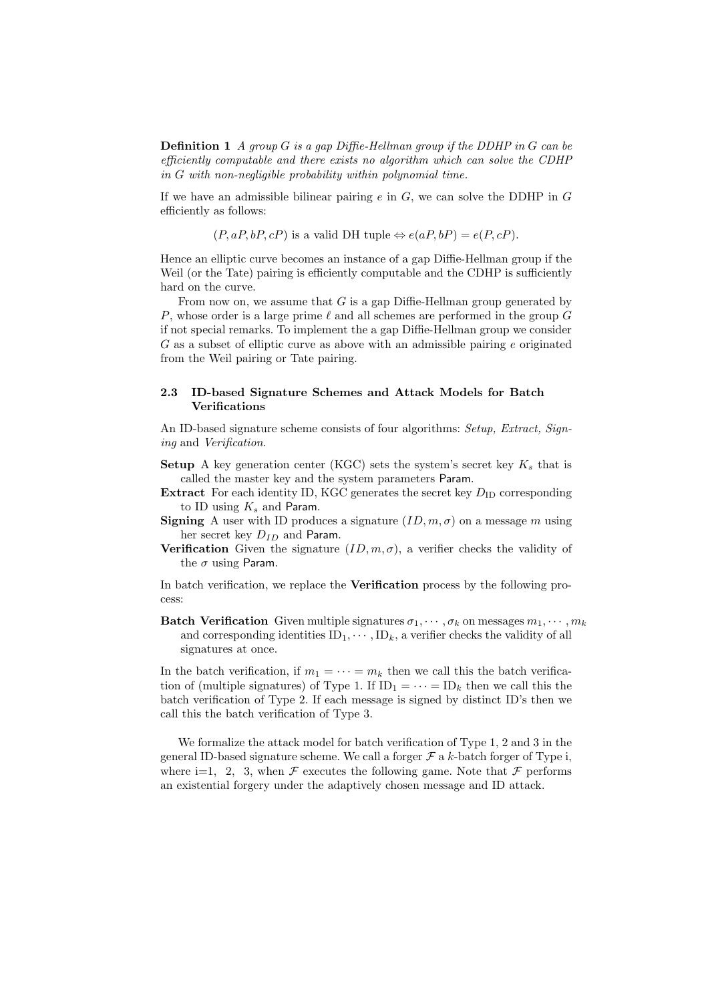**Definition 1** A group G is a gap Diffie-Hellman group if the DDHP in G can be efficiently computable and there exists no algorithm which can solve the CDHP in G with non-negligible probability within polynomial time.

If we have an admissible bilinear pairing  $e$  in  $G$ , we can solve the DDHP in  $G$ efficiently as follows:

 $(P, aP, bP, cP)$  is a valid DH tuple  $\Leftrightarrow e(aP, bP) = e(P, cP)$ .

Hence an elliptic curve becomes an instance of a gap Diffie-Hellman group if the Weil (or the Tate) pairing is efficiently computable and the CDHP is sufficiently hard on the curve.

From now on, we assume that  $G$  is a gap Diffie-Hellman group generated by P, whose order is a large prime  $\ell$  and all schemes are performed in the group G if not special remarks. To implement the a gap Diffie-Hellman group we consider  $G$  as a subset of elliptic curve as above with an admissible pairing  $e$  originated from the Weil pairing or Tate pairing.

## 2.3 ID-based Signature Schemes and Attack Models for Batch Verifications

An ID-based signature scheme consists of four algorithms: Setup, Extract, Signing and Verification.

- **Setup** A key generation center (KGC) sets the system's secret key  $K_s$  that is called the master key and the system parameters Param.
- **Extract** For each identity ID, KGC generates the secret key  $D_{\text{ID}}$  corresponding to ID using  $K_s$  and Param.
- **Signing** A user with ID produces a signature  $(ID, m, \sigma)$  on a message m using her secret key  $D_{ID}$  and Param.
- Verification Given the signature  $(ID, m, \sigma)$ , a verifier checks the validity of the  $\sigma$  using Param.

In batch verification, we replace the Verification process by the following process:

**Batch Verification** Given multiple signatures  $\sigma_1, \cdots, \sigma_k$  on messages  $m_1, \cdots, m_k$ and corresponding identities  $ID_1, \cdots, ID_k$ , a verifier checks the validity of all signatures at once.

In the batch verification, if  $m_1 = \cdots = m_k$  then we call this the batch verification of (multiple signatures) of Type 1. If  $ID_1 = \cdots = ID_k$  then we call this the batch verification of Type 2. If each message is signed by distinct ID's then we call this the batch verification of Type 3.

We formalize the attack model for batch verification of Type 1, 2 and 3 in the general ID-based signature scheme. We call a forger  $\mathcal F$  a k-batch forger of Type i, where i=1, 2, 3, when  $\mathcal F$  executes the following game. Note that  $\mathcal F$  performs an existential forgery under the adaptively chosen message and ID attack.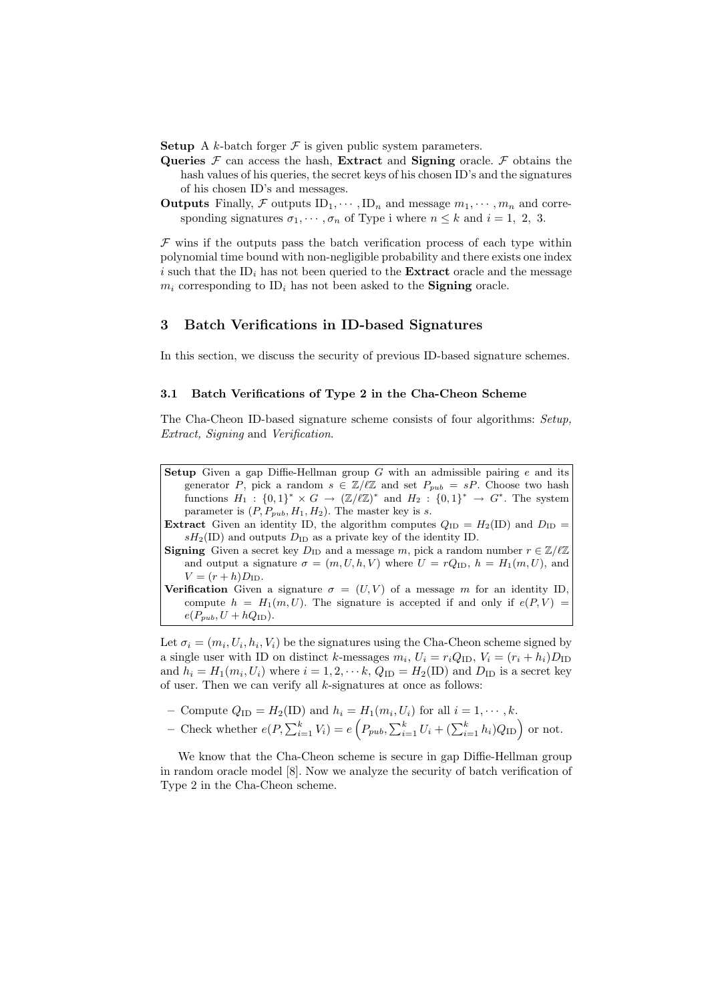**Setup** A k-batch forger  $\mathcal F$  is given public system parameters.

- Queries  $\mathcal F$  can access the hash, Extract and Signing oracle.  $\mathcal F$  obtains the hash values of his queries, the secret keys of his chosen ID's and the signatures of his chosen ID's and messages.
- **Outputs** Finally, F outputs  $ID_1, \dots, ID_n$  and message  $m_1, \dots, m_n$  and corresponding signatures  $\sigma_1, \cdots, \sigma_n$  of Type i where  $n \leq k$  and  $i = 1, 2, 3$ .

 $\mathcal F$  wins if the outputs pass the batch verification process of each type within polynomial time bound with non-negligible probability and there exists one index i such that the  $ID_i$  has not been queried to the **Extract** oracle and the message  $m_i$  corresponding to ID<sub>i</sub> has not been asked to the **Signing** oracle.

### 3 Batch Verifications in ID-based Signatures

In this section, we discuss the security of previous ID-based signature schemes.

### 3.1 Batch Verifications of Type 2 in the Cha-Cheon Scheme

The Cha-Cheon ID-based signature scheme consists of four algorithms: Setup, Extract, Signing and Verification.

Setup Given a gap Diffie-Hellman group  $G$  with an admissible pairing  $e$  and its generator P, pick a random  $s \in \mathbb{Z}/\ell\mathbb{Z}$  and set  $P_{pub} = sP$ . Choose two hash functions  $H_1: \{0,1\}^* \times G \to (\mathbb{Z}/\ell\mathbb{Z})^*$  and  $H_2: \{0,1\}^* \to G^*$ . The system parameter is  $(P, P_{pub}, H_1, H_2)$ . The master key is s.

**Extract** Given an identity ID, the algorithm computes  $Q_{\text{ID}} = H_2(\text{ID})$  and  $D_{\text{ID}} =$  $sH_2(ID)$  and outputs  $D_{ID}$  as a private key of the identity ID.

**Signing** Given a secret key  $D_{\text{ID}}$  and a message m, pick a random number  $r \in \mathbb{Z}/\ell\mathbb{Z}$ and output a signature  $\sigma = (m, U, h, V)$  where  $U = rQ_{\text{ID}}$ ,  $h = H_1(m, U)$ , and  $V = (r + h)D_{\text{ID}}.$ 

**Verification** Given a signature  $\sigma = (U, V)$  of a message m for an identity ID, compute  $h = H_1(m, U)$ . The signature is accepted if and only if  $e(P, V)$  $e(P_{pub}, U + hQ_{\text{ID}}).$ 

Let  $\sigma_i = (m_i, U_i, h_i, V_i)$  be the signatures using the Cha-Cheon scheme signed by a single user with ID on distinct k-messages  $m_i$ ,  $U_i = r_i Q_{\text{ID}}$ ,  $V_i = (r_i + h_i) D_{\text{ID}}$ and  $h_i = H_1(m_i, U_i)$  where  $i = 1, 2, \dots k$ ,  $Q_{ID} = H_2(ID)$  and  $D_{ID}$  is a secret key of user. Then we can verify all  $k$ -signatures at once as follows:

- .<br>م
- Compute  $Q_{\text{ID}} = H_2(\text{ID})$  and  $h_i = H_1(m_i, U_i)$  for all  $i = 1, \dots, k$ .<br>- Check whether  $e(P, \sum_{i=1}^k V_i) = e\left(P_{pub}, \sum_{i=1}^k U_i + (\sum_{i=1}^k h_i)Q_{\text{ID}}\right)$  $P_{pub}, \sum_{i=1}^{k} U_i + (\sum_{i=1}^{k} h_i) Q_{ID}$  or not.

We know that the Cha-Cheon scheme is secure in gap Diffie-Hellman group in random oracle model [8]. Now we analyze the security of batch verification of Type 2 in the Cha-Cheon scheme.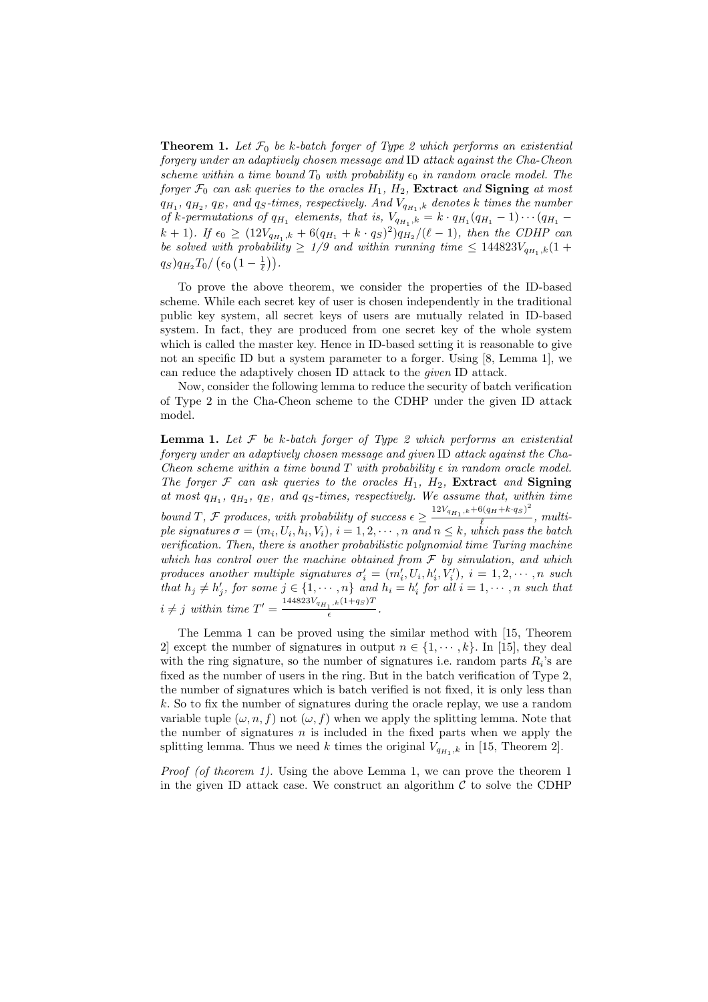**Theorem 1.** Let  $\mathcal{F}_0$  be k-batch forger of Type 2 which performs an existential forgery under an adaptively chosen message and ID attack against the Cha-Cheon scheme within a time bound  $T_0$  with probability  $\epsilon_0$  in random oracle model. The forger  $\mathcal{F}_0$  can ask queries to the oracles  $H_1$ ,  $H_2$ , **Extract** and **Signing** at most  $q_{H_1}, q_{H_2}, q_E$ , and  $q_S$ -times, respectively. And  $V_{q_{H_1},k}$  denotes k times the number of k-permutations of  $q_{H_1}$  elements, that is,  $V_{q_{H_1},k} = k \cdot q_{H_1}(q_{H_1} - 1) \cdots (q_{H_1} (k + 1)$ . If  $\epsilon_0 \geq (12V_{q_{H_1},k} + 6(q_{H_1} + k \cdot q_S)^2)q_{H_2}/(\ell - 1)$ , then the CDHP can be solved with probability  $\geq 1/9$  and within running time  $\leq 144823V_{q_{H_1},k}(1+$  $q_S)q_{H_2}T_0/\left(\epsilon_0\left(1-\frac{1}{\ell}\right)\right).$ 

To prove the above theorem, we consider the properties of the ID-based scheme. While each secret key of user is chosen independently in the traditional public key system, all secret keys of users are mutually related in ID-based system. In fact, they are produced from one secret key of the whole system which is called the master key. Hence in ID-based setting it is reasonable to give not an specific ID but a system parameter to a forger. Using [8, Lemma 1], we can reduce the adaptively chosen ID attack to the given ID attack.

Now, consider the following lemma to reduce the security of batch verification of Type 2 in the Cha-Cheon scheme to the CDHP under the given ID attack model.

**Lemma 1.** Let  $\mathcal F$  be k-batch forger of Type 2 which performs an existential forgery under an adaptively chosen message and given ID attack against the Cha-Cheon scheme within a time bound T with probability  $\epsilon$  in random oracle model. The forger  $\mathcal F$  can ask queries to the oracles  $H_1$ ,  $H_2$ , Extract and Signing at most  $q_{H_1}$ ,  $q_{H_2}$ ,  $q_E$ , and  $q_S$ -times, respectively. We assume that, within time bound T, F produces, with probability of success  $\epsilon \geq \frac{12V_{q_{H_1},k} + 6(q_H + k \cdot q_S)^2}{\ell}$  $\frac{\ell}{\ell}$ , multiple signatures  $\sigma = (m_i, U_i, h_i, V_i), i = 1, 2, \cdots, n$  and  $n \leq k$ , which pass the batch verification. Then, there is another probabilistic polynomial time Turing machine which has control over the machine obtained from  $\mathcal F$  by simulation, and which produces another multiple signatures  $\sigma'_{i} = (m'_{i}, U_{i}, h'_{i}, V'_{i}), i = 1, 2, \cdots, n$  such that  $h_j \neq h'_j$ , for some  $j \in \{1, \dots, n\}$  and  $h_i = h'_i$  for all  $i = 1, \dots, n$  such that  $i \neq j$  within time  $T' = \frac{144823V_{q_{H_1},k}(1+q_S)T}{\epsilon}$  $\epsilon$ .

The Lemma 1 can be proved using the similar method with [15, Theorem 2 except the number of signatures in output  $n \in \{1, \dots, k\}$ . In [15], they deal with the ring signature, so the number of signatures i.e. random parts  $R_i$ 's are fixed as the number of users in the ring. But in the batch verification of Type 2, the number of signatures which is batch verified is not fixed, it is only less than k. So to fix the number of signatures during the oracle replay, we use a random variable tuple  $(\omega, n, f)$  not  $(\omega, f)$  when we apply the splitting lemma. Note that the number of signatures  $n$  is included in the fixed parts when we apply the splitting lemma. Thus we need k times the original  $V_{q_{H_1},k}$  in [15, Theorem 2].

Proof (of theorem 1). Using the above Lemma 1, we can prove the theorem 1 in the given ID attack case. We construct an algorithm  $\mathcal C$  to solve the CDHP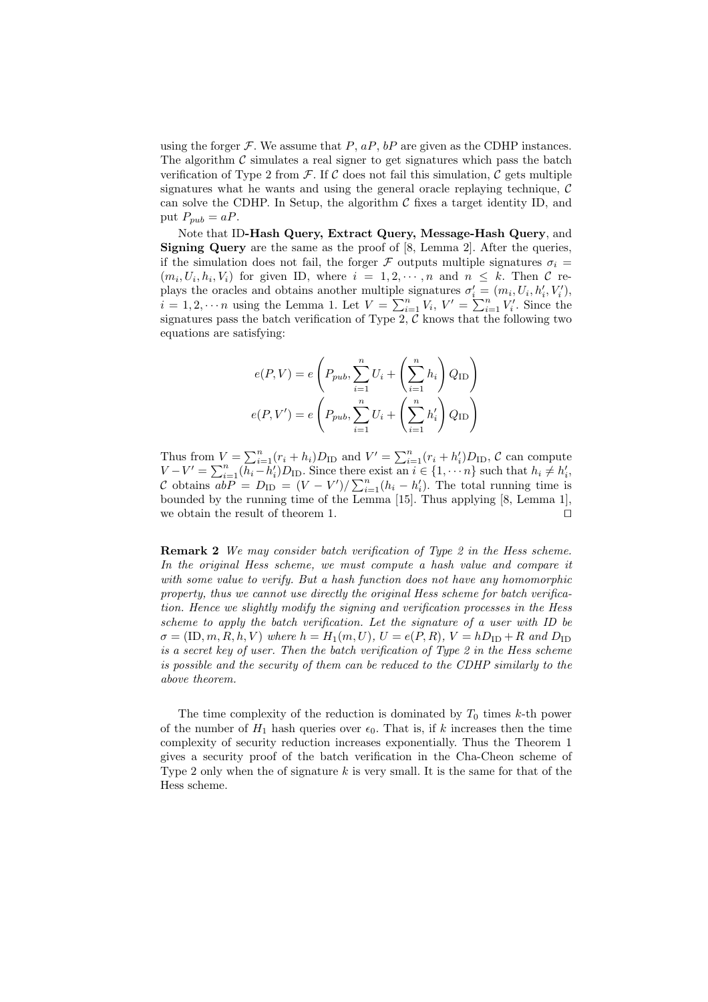using the forger  $\mathcal F$ . We assume that  $P$ ,  $aP$ ,  $bP$  are given as the CDHP instances. The algorithm  $\mathcal C$  simulates a real signer to get signatures which pass the batch verification of Type 2 from  $\mathcal F$ . If  $\mathcal C$  does not fail this simulation,  $\mathcal C$  gets multiple signatures what he wants and using the general oracle replaying technique,  $\mathcal C$ can solve the CDHP. In Setup, the algorithm  $\mathcal C$  fixes a target identity ID, and put  $P_{pub} = aP$ .

Note that ID-Hash Query, Extract Query, Message-Hash Query, and Signing Query are the same as the proof of [8, Lemma 2]. After the queries, if the simulation does not fail, the forger F outputs multiple signatures  $\sigma_i =$  $(m_i, U_i, h_i, V_i)$  for given ID, where  $i = 1, 2, \dots, n$  and  $n \leq k$ . Then C replays the oracles and obtains another multiple signatures  $\sigma'_{i} = (m_i, U_i, h'_{i}, V'_{i}),$ plays the oracles and obtains another multiple signatures  $o_i = (m_i, o_i, n_i, v_i)$ ,<br>  $i = 1, 2, \dots n$  using the Lemma 1. Let  $V = \sum_{i=1}^n V_i$ ,  $V' = \sum_{i=1}^n V'_i$ . Since the signatures pass the batch verification of Type 2,  $\mathcal C$  knows that the following two equations are satisfying:

$$
e(P, V) = e\left(P_{pub}, \sum_{i=1}^{n} U_i + \left(\sum_{i=1}^{n} h_i\right) Q_{ID}\right)
$$

$$
e(P, V') = e\left(P_{pub}, \sum_{i=1}^{n} U_i + \left(\sum_{i=1}^{n} h'_i\right) Q_{ID}\right)
$$

Thus from  $V = \sum_{i=1}^{n} (r_i + h_i) D_{ID}$  and  $V' = \sum_{i=1}^{n} (r_i + h'_i) D_{ID}$ ,  $C$  can compute Thus from  $V = \sum_{i=1}^n (r_i + n_i) D_{ID}$  and  $V = \sum_{i=1}^n (r_i + n_i) D_{ID}$ , C can compute  $V - V' = \sum_{i=1}^n (h_i - h'_i) D_{ID}$ . Since there exist an  $i \in \{1, \dots n\}$  such that  $h_i \neq h'_i$ , C obtains  $abP = D_{\text{ID}} = (V - V')/\sum_{i=1}^{n} (h_i - h'_i)$ . The total running time is bounded by the running time of the Lemma [15]. Thus applying [8, Lemma 1], we obtain the result of theorem 1.  $\Box$ 

Remark 2 We may consider batch verification of Type 2 in the Hess scheme. In the original Hess scheme, we must compute a hash value and compare it with some value to verify. But a hash function does not have any homomorphic property, thus we cannot use directly the original Hess scheme for batch verification. Hence we slightly modify the signing and verification processes in the Hess scheme to apply the batch verification. Let the signature of a user with ID be  $\sigma = (\text{ID}, m, R, h, V)$  where  $h = H_1(m, U), U = e(P, R), V = hD_{\text{ID}} + R$  and  $D_{\text{ID}}$ is a secret key of user. Then the batch verification of Type 2 in the Hess scheme is possible and the security of them can be reduced to the CDHP similarly to the above theorem.

The time complexity of the reduction is dominated by  $T_0$  times k-th power of the number of  $H_1$  hash queries over  $\epsilon_0$ . That is, if k increases then the time complexity of security reduction increases exponentially. Thus the Theorem 1 gives a security proof of the batch verification in the Cha-Cheon scheme of Type 2 only when the of signature k is very small. It is the same for that of the Hess scheme.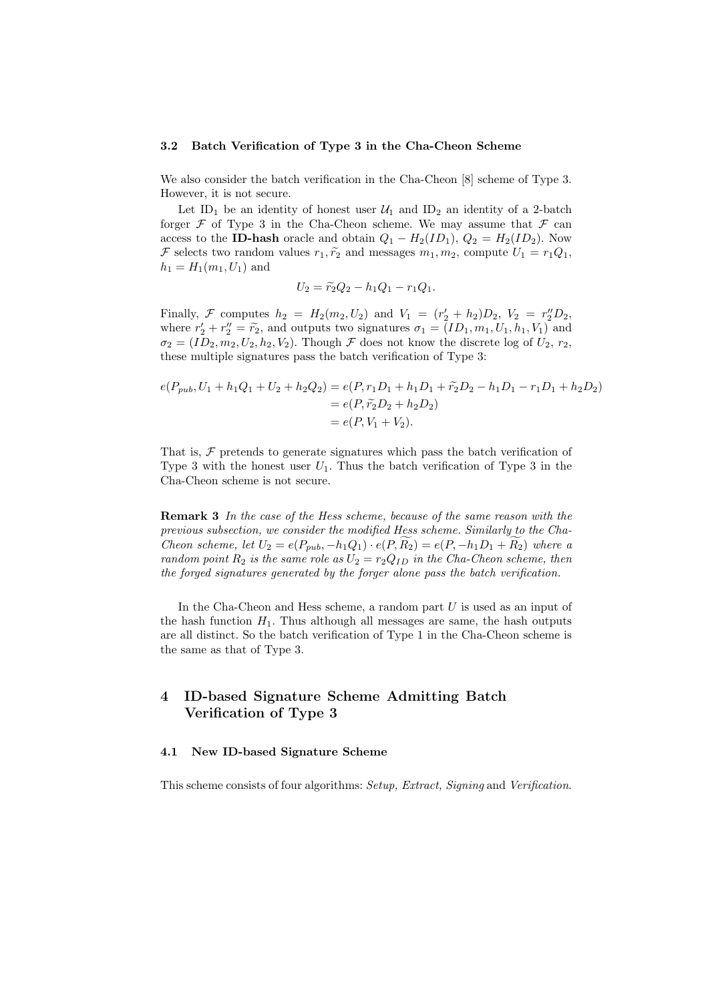#### 3.2 Batch Verification of Type 3 in the Cha-Cheon Scheme

We also consider the batch verification in the Cha-Cheon [8] scheme of Type 3. However, it is not secure.

Let ID<sub>1</sub> be an identity of honest user  $\mathcal{U}_1$  and ID<sub>2</sub> an identity of a 2-batch forger  $\mathcal F$  of Type 3 in the Cha-Cheon scheme. We may assume that  $\mathcal F$  can access to the **ID-hash** oracle and obtain  $Q_1 - H_2(ID_1), Q_2 = H_2(ID_2)$ . Now F selects two random values  $r_1, \tilde{r_2}$  and messages  $m_1, m_2$ , compute  $U_1 = r_1 Q_1$ ,  $h_1 = H_1(m_1, U_1)$  and

$$
U_2 = \tilde{r}_2 Q_2 - h_1 Q_1 - r_1 Q_1.
$$

Finally, F computes  $h_2 = H_2(m_2, U_2)$  and  $V_1 = (r'_2 + h_2)D_2$ ,  $V_2 = r''_2D_2$ , where  $r'_2 + r''_2 = \tilde{r}_2$ , and outputs two signatures  $\sigma_1 = (ID_1, m_1, U_1, h_1, V_1)$  and  $\sigma_2 = (ID_2, m_2, U_2, h_2, V_2)$ . Though  $\mathcal F$  does not know the discrete log of  $U_2, r_2$ , these multiple signatures pass the batch verification of Type 3:

$$
e(P_{pub}, U_1 + h_1Q_1 + U_2 + h_2Q_2) = e(P, r_1D_1 + h_1D_1 + \tilde{r_2}D_2 - h_1D_1 - r_1D_1 + h_2D_2)
$$
  
=  $e(P, \tilde{r_2}D_2 + h_2D_2)$   
=  $e(P, V_1 + V_2)$ .

That is,  $\mathcal F$  pretends to generate signatures which pass the batch verification of Type 3 with the honest user  $U_1$ . Thus the batch verification of Type 3 in the Cha-Cheon scheme is not secure.

**Remark 3** In the case of the Hess scheme, because of the same reason with the previous subsection, we consider the modified Hess scheme. Similarly to the Cha-Cheon scheme, let  $U_2 = e(P_{pub}, -h_1Q_1) \cdot e(P, R_2) = e(P, -h_1D_1 + R_2)$  where a random point  $R_2$  is the same role as  $U_2 = r_2 Q_{ID}$  in the Cha-Cheon scheme, then the forged signatures generated by the forger alone pass the batch verification.

In the Cha-Cheon and Hess scheme, a random part U is used as an input of the hash function  $H_1$ . Thus although all messages are same, the hash outputs are all distinct. So the batch verification of Type 1 in the Cha-Cheon scheme is the same as that of Type 3.

## 4 ID-based Signature Scheme Admitting Batch Verification of Type 3

### 4.1 New ID-based Signature Scheme

This scheme consists of four algorithms: Setup, Extract, Signing and Verification.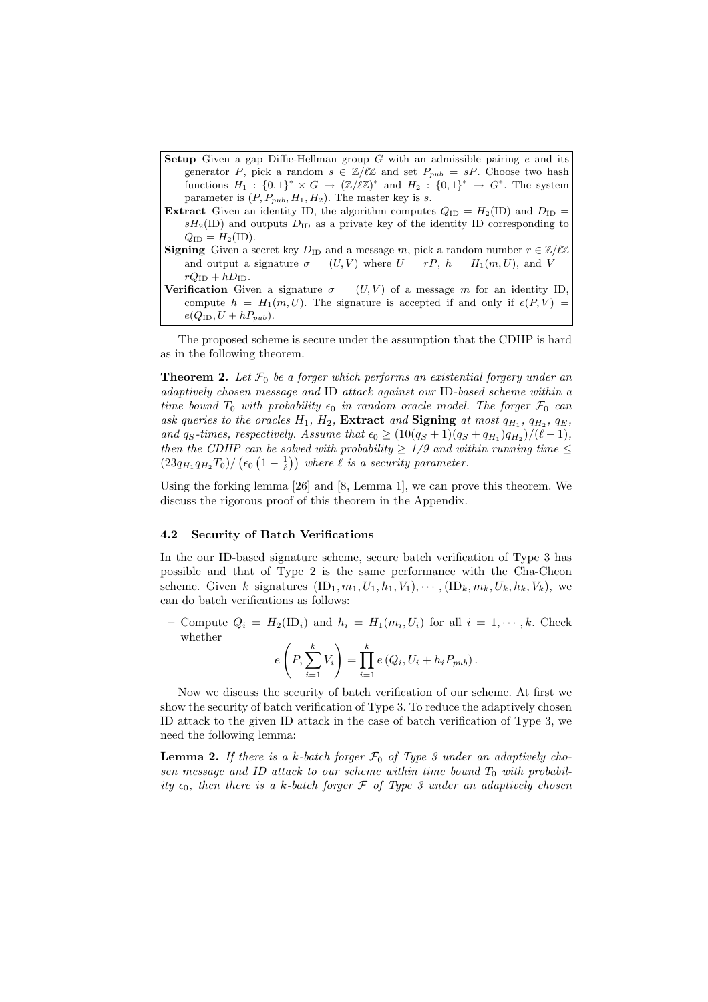- **Setup** Given a gap Diffie-Hellman group G with an admissible pairing  $e$  and its generator P, pick a random  $s \in \mathbb{Z}/\ell\mathbb{Z}$  and set  $P_{pub} = sP$ . Choose two hash functions  $H_1: \{0,1\}^* \times G \to (\mathbb{Z}/\ell\mathbb{Z})^*$  and  $H_2: \{0,1\}^* \to G^*$ . The system parameter is  $(P, P_{pub}, H_1, H_2)$ . The master key is s.
- **Extract** Given an identity ID, the algorithm computes  $Q_{\text{ID}} = H_2(\text{ID})$  and  $D_{\text{ID}} =$  $sH_2(ID)$  and outputs  $D_{ID}$  as a private key of the identity ID corresponding to  $Q_{\text{ID}} = H_2(\text{ID}).$
- **Signing** Given a secret key  $D_{\text{ID}}$  and a message m, pick a random number  $r \in \mathbb{Z}/\ell\mathbb{Z}$ and output a signature  $\sigma = (U, V)$  where  $U = rP$ ,  $h = H_1(m, U)$ , and  $V =$  $rQ_{\text{ID}} + hD_{\text{ID}}.$
- Verification Given a signature  $\sigma = (U, V)$  of a message m for an identity ID, compute  $h = H_1(m, U)$ . The signature is accepted if and only if  $e(P, V)$  $e(Q_{\text{ID}}, U + hP_{pub}).$

The proposed scheme is secure under the assumption that the CDHP is hard as in the following theorem.

**Theorem 2.** Let  $\mathcal{F}_0$  be a forger which performs an existential forgery under an adaptively chosen message and ID attack against our ID-based scheme within a time bound  $T_0$  with probability  $\epsilon_0$  in random oracle model. The forger  $\mathcal{F}_0$  can ask queries to the oracles  $H_1$ ,  $H_2$ , **Extract** and **Signing** at most  $q_{H_1}$ ,  $q_{H_2}$ ,  $q_E$ , and  $q_S$ -times, respectively. Assume that  $\epsilon_0 \geq (10(q_S+1)(q_S+q_{H_1})q_{H_2})/(\ell-1)$ , then the CDHP can be solved with probability  $\geq 1/9$  and within running time  $\leq$ then the CDHP can be solved with probability  $\geq 1/9$  and will  $(23q_{H_1}q_{H_2}T_0)/(\epsilon_0(1-\frac{1}{\ell}))$  where  $\ell$  is a security parameter.

Using the forking lemma [26] and [8, Lemma 1], we can prove this theorem. We discuss the rigorous proof of this theorem in the Appendix.

#### 4.2 Security of Batch Verifications

In the our ID-based signature scheme, secure batch verification of Type 3 has possible and that of Type 2 is the same performance with the Cha-Cheon scheme. Given k signatures  $(ID_1, m_1, U_1, h_1, V_1), \cdots, (ID_k, m_k, U_k, h_k, V_k)$ , we can do batch verifications as follows:

- Compute  $Q_i = H_2(\mathbb{ID}_i)$  and  $h_i = H_1(m_i, U_i)$  for all  $i = 1, \dots, k$ . Check whether  $\overline{a}$ !<br>}

$$
e\left(P, \sum_{i=1}^k V_i\right) = \prod_{i=1}^k e\left(Q_i, U_i + h_i P_{pub}\right).
$$

Now we discuss the security of batch verification of our scheme. At first we show the security of batch verification of Type 3. To reduce the adaptively chosen ID attack to the given ID attack in the case of batch verification of Type 3, we need the following lemma:

**Lemma 2.** If there is a k-batch forger  $\mathcal{F}_0$  of Type 3 under an adaptively chosen message and ID attack to our scheme within time bound  $T_0$  with probability  $\epsilon_0$ , then there is a k-batch forger  $\mathcal F$  of Type 3 under an adaptively chosen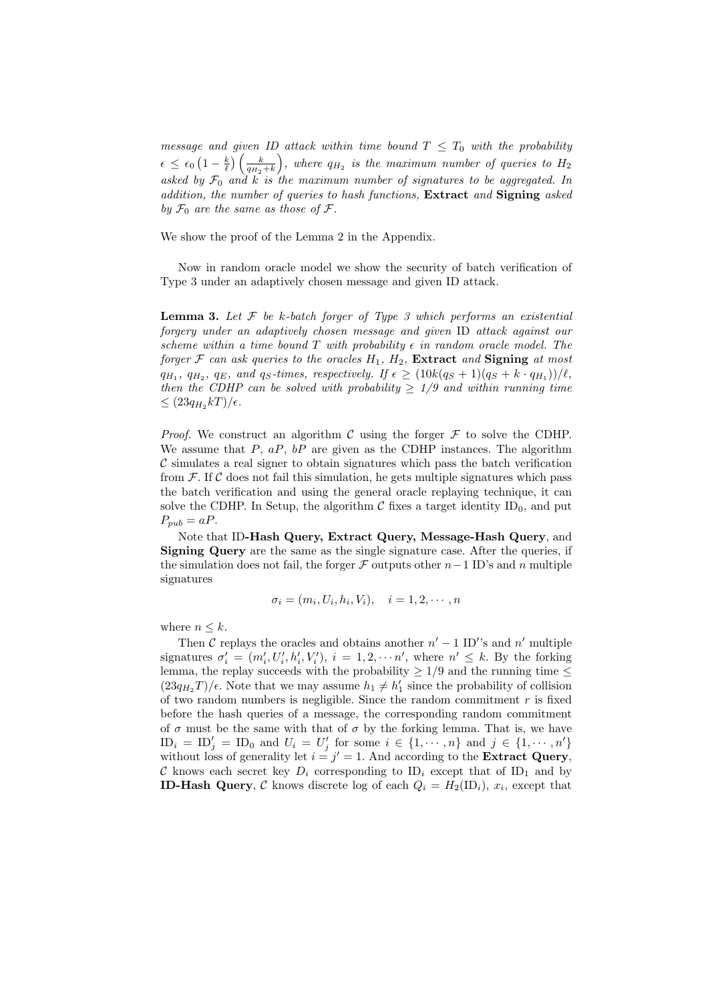message and given ID attack within time bound  $T \leq T_0$  with the probability  $\epsilon \leq \epsilon_0$ ¡  $1-\frac{k}{\ell}$  $\left(\frac{k}{q_{H_2}+k}\right)$ , where  $q_{H_2}$  is the maximum number of queries to  $H_2$ asked by  $\mathcal{F}_0$  and k is the maximum number of signatures to be aggregated. In addition, the number of queries to hash functions, Extract and Signing asked by  $\mathcal{F}_0$  are the same as those of  $\mathcal{F}$ .

We show the proof of the Lemma 2 in the Appendix.

Now in random oracle model we show the security of batch verification of Type 3 under an adaptively chosen message and given ID attack.

**Lemma 3.** Let  $\mathcal F$  be k-batch forger of Type 3 which performs an existential forgery under an adaptively chosen message and given ID attack against our scheme within a time bound T with probability  $\epsilon$  in random oracle model. The forger  $\mathcal F$  can ask queries to the oracles  $H_1$ ,  $H_2$ , **Extract** and **Signing** at most  $q_{H_1}, q_{H_2}, q_E,$  and  $q_S$ -times, respectively. If  $\epsilon \geq (10k(q_S+1)(q_S + k \cdot q_{H_1}))/\ell$ , then the CDHP can be solved with probability  $\geq$  1/9 and within running time  $\leq (23q_{H_2}kT)/\epsilon.$ 

*Proof.* We construct an algorithm C using the forger  $\mathcal F$  to solve the CDHP. We assume that  $P$ ,  $aP$ ,  $bP$  are given as the CDHP instances. The algorithm  $\mathcal C$  simulates a real signer to obtain signatures which pass the batch verification from  $\mathcal F$ . If C does not fail this simulation, he gets multiple signatures which pass the batch verification and using the general oracle replaying technique, it can solve the CDHP. In Setup, the algorithm  $\mathcal C$  fixes a target identity ID<sub>0</sub>, and put  $P_{pub} = aP.$ 

Note that ID-Hash Query, Extract Query, Message-Hash Query, and Signing Query are the same as the single signature case. After the queries, if the simulation does not fail, the forger  $\mathcal F$  outputs other  $n-1$  ID's and n multiple signatures

$$
\sigma_i = (m_i, U_i, h_i, V_i), \quad i = 1, 2, \cdots, n
$$

where  $n \leq k$ .

Then C replays the oracles and obtains another  $n' - 1$  ID's and  $n'$  multiple signatures  $\sigma'_i = (m'_i, U'_i, h'_i, V'_i), i = 1, 2, \cdots n'$ , where  $n' \leq k$ . By the forking lemma, the replay succeeds with the probability  $\geq 1/9$  and the running time  $\leq$  $(23q_{H_2}T)/\epsilon$ . Note that we may assume  $h_1 \neq h'_1$  since the probability of collision of two random numbers is negligible. Since the random commitment  $r$  is fixed before the hash queries of a message, the corresponding random commitment of  $\sigma$  must be the same with that of  $\sigma$  by the forking lemma. That is, we have  $\text{ID}_i = \text{ID}'_j = \text{ID}_0$  and  $U_i = U'_j$  for some  $i \in \{1, \dots, n\}$  and  $j \in \{1, \dots, n'\}$ without loss of generality let  $i = j' = 1$ . And according to the **Extract Query**, C knows each secret key  $D_i$  corresponding to  $ID_i$  except that of  $ID_1$  and by **ID-Hash Query**, C knows discrete log of each  $Q_i = H_2(\mathbb{D}_i)$ ,  $x_i$ , except that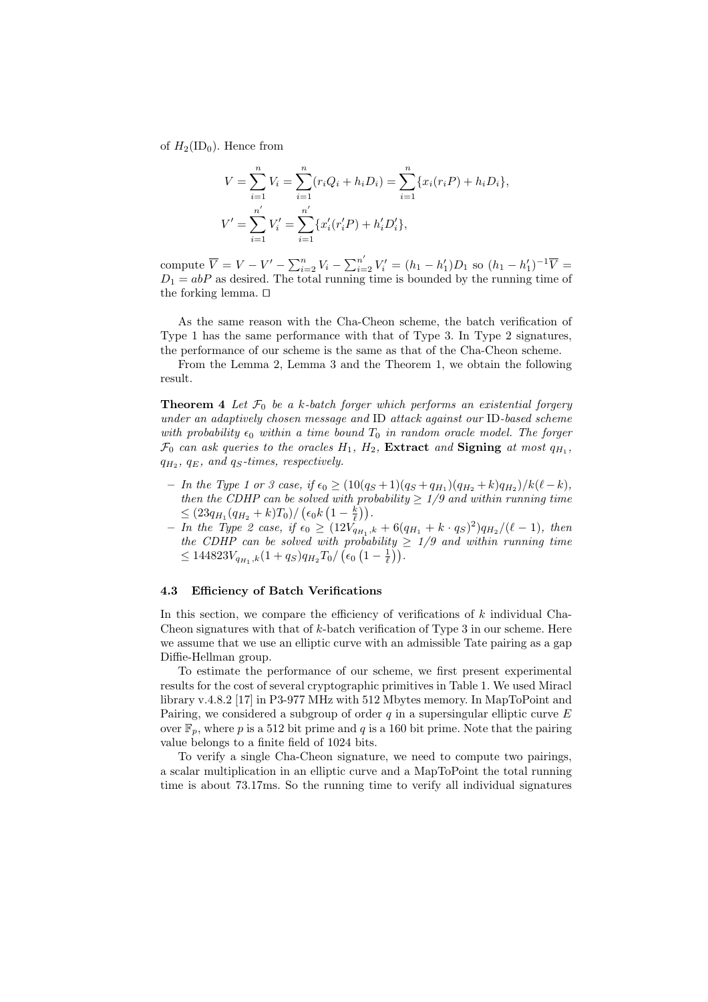of  $H_2(ID_0)$ . Hence from

$$
V = \sum_{i=1}^{n} V_i = \sum_{i=1}^{n} (r_i Q_i + h_i D_i) = \sum_{i=1}^{n} \{x_i (r_i P) + h_i D_i\},
$$
  

$$
V' = \sum_{i=1}^{n'} V'_i = \sum_{i=1}^{n'} \{x'_i (r'_i P) + h'_i D'_i\},
$$

compute  $\overline{V} = V - V' - \sum_{i=2}^{n} V_i - \sum_{i=2}^{n'} V'_i = (h_1 - h'_1)D_1$  so  $(h_1 - h'_1)^{-1}\overline{V} =$  $D_1 = abP$  as desired. The total running time is bounded by the running time of the forking lemma.  $\square$ 

As the same reason with the Cha-Cheon scheme, the batch verification of Type 1 has the same performance with that of Type 3. In Type 2 signatures, the performance of our scheme is the same as that of the Cha-Cheon scheme.

From the Lemma 2, Lemma 3 and the Theorem 1, we obtain the following result.

**Theorem 4** Let  $\mathcal{F}_0$  be a k-batch forger which performs an existential forgery under an adaptively chosen message and ID attack against our ID-based scheme with probability  $\epsilon_0$  within a time bound  $T_0$  in random oracle model. The forger  $\mathcal{F}_0$  can ask queries to the oracles  $H_1$ ,  $H_2$ , **Extract** and **Signing** at most  $q_{H_1}$ ,  $q_{H_2}$ ,  $q_E$ , and  $q_S$ -times, respectively.

- In the Type 1 or 3 case, if  $\epsilon_0 \geq (10(q_S+1)(q_S+q_{H_1})(q_{H_2}+k)q_{H_2})/k(\ell-k)$ , then the CDHP can be solved with probability  $\geq 1/9$  and within running time then the CDHP can be solved with pro<br>  $\leq (23q_{H_1}(q_{H_2}+k)T_0)/(\epsilon_0 k \left(1-\frac{k}{\ell}\right)).$
- $−$  In the Type 2 case, if  $\epsilon_0 \geq (12V_{q_{H_1},k}^{\sim} + 6(q_{H_1} + k \cdot q_S)^2)q_{H_2}/(\ell-1)$ , then the CDHP can be solved with probability  $\geq$  1/9 and within running time the CDHP can be solved with probability  $\leq$  144823 $V_{q_{H_1},k}(1+q_S)q_{H_2}T_0/\left(\epsilon_0\left(1-\frac{1}{\ell}\right)\right)$ .

### 4.3 Efficiency of Batch Verifications

In this section, we compare the efficiency of verifications of  $k$  individual Cha-Cheon signatures with that of  $k$ -batch verification of Type 3 in our scheme. Here we assume that we use an elliptic curve with an admissible Tate pairing as a gap Diffie-Hellman group.

To estimate the performance of our scheme, we first present experimental results for the cost of several cryptographic primitives in Table 1. We used Miracl library v.4.8.2 [17] in P3-977 MHz with 512 Mbytes memory. In MapToPoint and Pairing, we considered a subgroup of order  $q$  in a supersingular elliptic curve  $E$ over  $\mathbb{F}_p$ , where p is a 512 bit prime and q is a 160 bit prime. Note that the pairing value belongs to a finite field of 1024 bits.

To verify a single Cha-Cheon signature, we need to compute two pairings, a scalar multiplication in an elliptic curve and a MapToPoint the total running time is about 73.17ms. So the running time to verify all individual signatures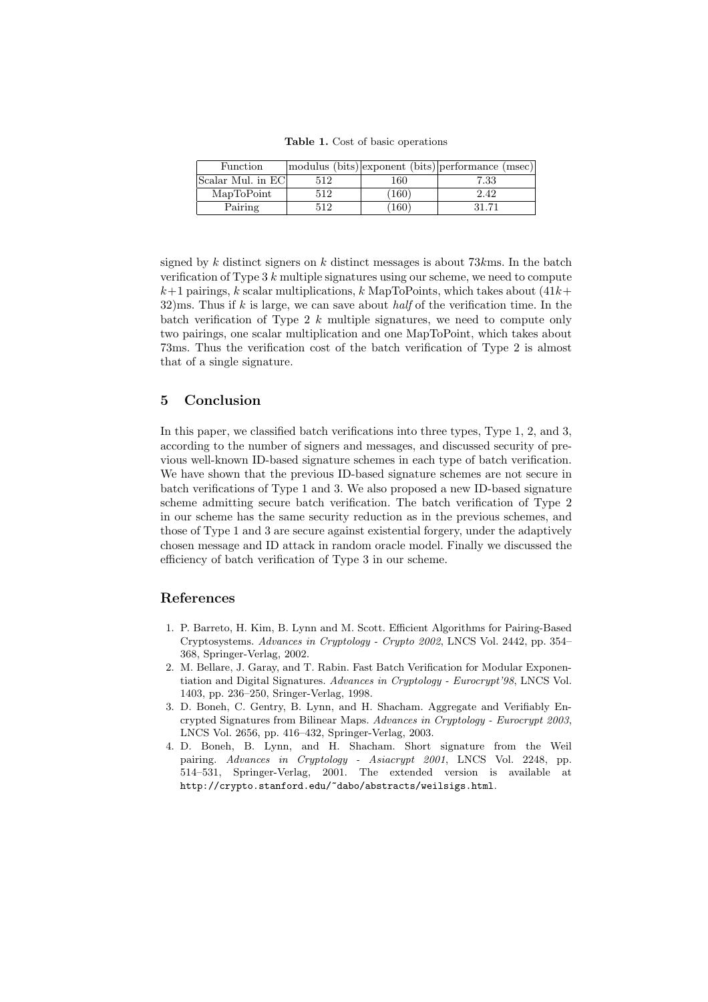Table 1. Cost of basic operations

| <b>Function</b>    |     |      | modulus (bits) exponent (bits) performance (msec) |
|--------------------|-----|------|---------------------------------------------------|
| Scalar Mul. in ECI | 512 | 160  | 7.33                                              |
| MapToPoint         | 512 | 160) | 2.42                                              |
| Pairing            | 512 | 160) | 31.71                                             |

signed by k distinct signers on k distinct messages is about  $73km$ s. In the batch verification of Type  $3 k$  multiple signatures using our scheme, we need to compute  $k+1$  pairings, k scalar multiplications, k MapToPoints, which takes about  $(41k+1)$  $32$ )ms. Thus if k is large, we can save about half of the verification time. In the batch verification of Type  $2 \; k$  multiple signatures, we need to compute only two pairings, one scalar multiplication and one MapToPoint, which takes about 73ms. Thus the verification cost of the batch verification of Type 2 is almost that of a single signature.

## 5 Conclusion

In this paper, we classified batch verifications into three types, Type 1, 2, and 3, according to the number of signers and messages, and discussed security of previous well-known ID-based signature schemes in each type of batch verification. We have shown that the previous ID-based signature schemes are not secure in batch verifications of Type 1 and 3. We also proposed a new ID-based signature scheme admitting secure batch verification. The batch verification of Type 2 in our scheme has the same security reduction as in the previous schemes, and those of Type 1 and 3 are secure against existential forgery, under the adaptively chosen message and ID attack in random oracle model. Finally we discussed the efficiency of batch verification of Type 3 in our scheme.

## References

- 1. P. Barreto, H. Kim, B. Lynn and M. Scott. Efficient Algorithms for Pairing-Based Cryptosystems. Advances in Cryptology - Crypto 2002, LNCS Vol. 2442, pp. 354– 368, Springer-Verlag, 2002.
- 2. M. Bellare, J. Garay, and T. Rabin. Fast Batch Verification for Modular Exponentiation and Digital Signatures. Advances in Cryptology - Eurocrypt'98, LNCS Vol. 1403, pp. 236–250, Sringer-Verlag, 1998.
- 3. D. Boneh, C. Gentry, B. Lynn, and H. Shacham. Aggregate and Verifiably Encrypted Signatures from Bilinear Maps. Advances in Cryptology - Eurocrypt 2003, LNCS Vol. 2656, pp. 416–432, Springer-Verlag, 2003.
- 4. D. Boneh, B. Lynn, and H. Shacham. Short signature from the Weil pairing. Advances in Cryptology - Asiacrypt 2001, LNCS Vol. 2248, pp. 514–531, Springer-Verlag, 2001. The extended version is available at http://crypto.stanford.edu/~dabo/abstracts/weilsigs.html.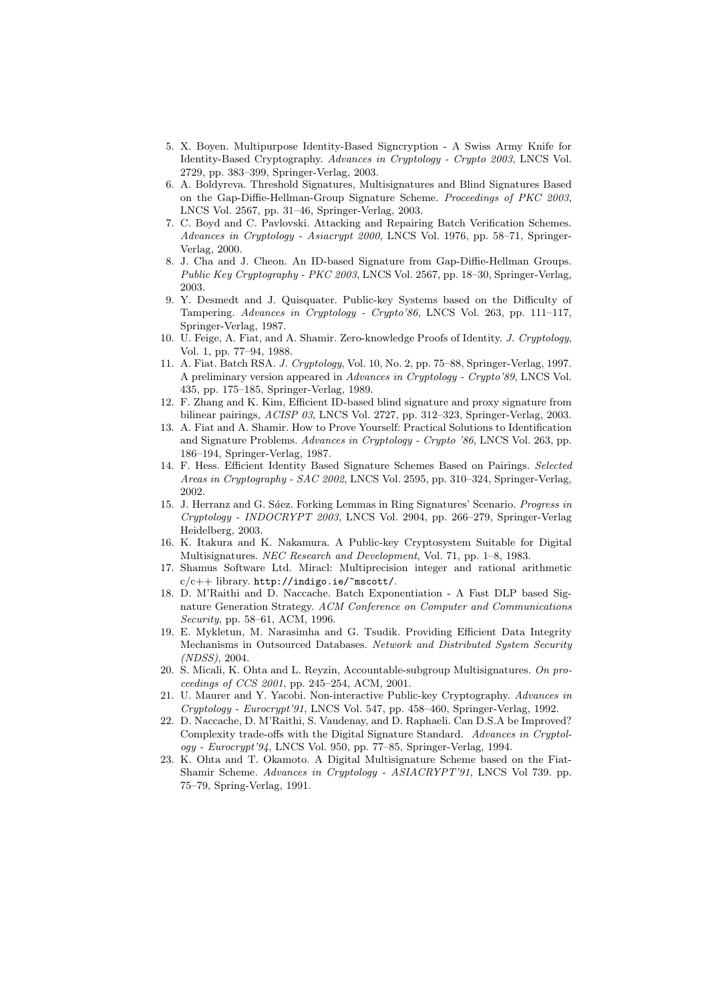- 5. X. Boyen. Multipurpose Identity-Based Signcryption A Swiss Army Knife for Identity-Based Cryptography. Advances in Cryptology - Crypto 2003, LNCS Vol. 2729, pp. 383–399, Springer-Verlag, 2003.
- 6. A. Boldyreva. Threshold Signatures, Multisignatures and Blind Signatures Based on the Gap-Diffie-Hellman-Group Signature Scheme. Proceedings of PKC 2003, LNCS Vol. 2567, pp. 31–46, Springer-Verlag, 2003.
- 7. C. Boyd and C. Pavlovski. Attacking and Repairing Batch Verification Schemes. Advances in Cryptology - Asiacrypt 2000, LNCS Vol. 1976, pp. 58–71, Springer-Verlag, 2000.
- 8. J. Cha and J. Cheon. An ID-based Signature from Gap-Diffie-Hellman Groups. Public Key Cryptography - PKC 2003, LNCS Vol. 2567, pp. 18–30, Springer-Verlag, 2003.
- 9. Y. Desmedt and J. Quisquater. Public-key Systems based on the Difficulty of Tampering. Advances in Cryptology - Crypto'86, LNCS Vol. 263, pp. 111–117, Springer-Verlag, 1987.
- 10. U. Feige, A. Fiat, and A. Shamir. Zero-knowledge Proofs of Identity. J. Cryptology, Vol. 1, pp. 77–94, 1988.
- 11. A. Fiat. Batch RSA. J. Cryptology, Vol. 10, No. 2, pp. 75–88, Springer-Verlag, 1997. A preliminary version appeared in Advances in Cryptology - Crypto'89, LNCS Vol. 435, pp. 175–185, Springer-Verlag, 1989.
- 12. F. Zhang and K. Kim, Efficient ID-based blind signature and proxy signature from bilinear pairings, ACISP 03, LNCS Vol. 2727, pp. 312–323, Springer-Verlag, 2003.
- 13. A. Fiat and A. Shamir. How to Prove Yourself: Practical Solutions to Identification and Signature Problems. Advances in Cryptology - Crypto '86, LNCS Vol. 263, pp. 186–194, Springer-Verlag, 1987.
- 14. F. Hess. Efficient Identity Based Signature Schemes Based on Pairings. Selected Areas in Cryptography - SAC 2002, LNCS Vol. 2595, pp. 310–324, Springer-Verlag, 2002.
- 15. J. Herranz and G. Sáez. Forking Lemmas in Ring Signatures' Scenario. Progress in Cryptology - INDOCRYPT 2003, LNCS Vol. 2904, pp. 266–279, Springer-Verlag Heidelberg, 2003.
- 16. K. Itakura and K. Nakamura. A Public-key Cryptosystem Suitable for Digital Multisignatures. NEC Research and Development, Vol. 71, pp. 1–8, 1983.
- 17. Shamus Software Ltd. Miracl: Multiprecision integer and rational arithmetic  $c/c++$  library. http://indigo.ie/~mscott/.
- 18. D. M'Raithi and D. Naccache. Batch Exponentiation A Fast DLP based Signature Generation Strategy. ACM Conference on Computer and Communications Security, pp. 58–61, ACM, 1996.
- 19. E. Mykletun, M. Narasimha and G. Tsudik. Providing Efficient Data Integrity Mechanisms in Outsourced Databases. Network and Distributed System Security (NDSS), 2004.
- 20. S. Micali, K. Ohta and L. Reyzin, Accountable-subgroup Multisignatures. On proceedings of CCS 2001, pp. 245–254, ACM, 2001.
- 21. U. Maurer and Y. Yacobi. Non-interactive Public-key Cryptography. Advances in Cryptology - Eurocrypt'91, LNCS Vol. 547, pp. 458–460, Springer-Verlag, 1992.
- 22. D. Naccache, D. M'Raithi, S. Vaudenay, and D. Raphaeli. Can D.S.A be Improved? Complexity trade-offs with the Digital Signature Standard. Advances in Cryptology - Eurocrypt'94, LNCS Vol. 950, pp. 77–85, Springer-Verlag, 1994.
- 23. K. Ohta and T. Okamoto. A Digital Multisignature Scheme based on the Fiat-Shamir Scheme. Advances in Cryptology - ASIACRYPT'91, LNCS Vol 739. pp. 75–79, Spring-Verlag, 1991.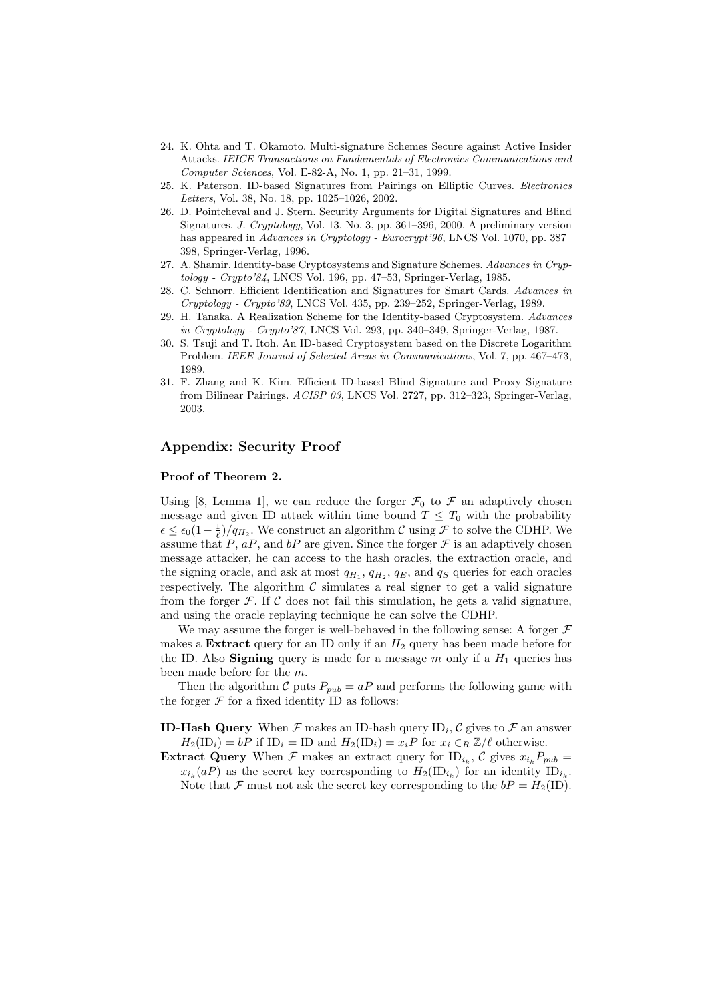- 24. K. Ohta and T. Okamoto. Multi-signature Schemes Secure against Active Insider Attacks. IEICE Transactions on Fundamentals of Electronics Communications and Computer Sciences, Vol. E-82-A, No. 1, pp. 21–31, 1999.
- 25. K. Paterson. ID-based Signatures from Pairings on Elliptic Curves. Electronics Letters, Vol. 38, No. 18, pp. 1025–1026, 2002.
- 26. D. Pointcheval and J. Stern. Security Arguments for Digital Signatures and Blind Signatures. J. Cryptology, Vol. 13, No. 3, pp. 361–396, 2000. A preliminary version has appeared in Advances in Cryptology - Eurocrypt'96, LNCS Vol. 1070, pp. 387– 398, Springer-Verlag, 1996.
- 27. A. Shamir. Identity-base Cryptosystems and Signature Schemes. Advances in Cryptology - Crypto'84, LNCS Vol. 196, pp. 47–53, Springer-Verlag, 1985.
- 28. C. Schnorr. Efficient Identification and Signatures for Smart Cards. Advances in Cryptology - Crypto'89, LNCS Vol. 435, pp. 239–252, Springer-Verlag, 1989.
- 29. H. Tanaka. A Realization Scheme for the Identity-based Cryptosystem. Advances in Cryptology - Crypto'87, LNCS Vol. 293, pp. 340–349, Springer-Verlag, 1987.
- 30. S. Tsuji and T. Itoh. An ID-based Cryptosystem based on the Discrete Logarithm Problem. IEEE Journal of Selected Areas in Communications, Vol. 7, pp. 467–473, 1989.
- 31. F. Zhang and K. Kim. Efficient ID-based Blind Signature and Proxy Signature from Bilinear Pairings. ACISP 03, LNCS Vol. 2727, pp. 312–323, Springer-Verlag, 2003.

## Appendix: Security Proof

### Proof of Theorem 2.

Using [8, Lemma 1], we can reduce the forger  $\mathcal{F}_0$  to  $\mathcal{F}$  an adaptively chosen message and given ID attack within time bound  $T \leq T_0$  with the probability  $\epsilon \leq \epsilon_0(1-\frac{1}{\ell})/q_{H_2}$ . We construct an algorithm C using F to solve the CDHP. We assume that P,  $aP$ , and  $bP$  are given. Since the forger F is an adaptively chosen message attacker, he can access to the hash oracles, the extraction oracle, and the signing oracle, and ask at most  $q_{H_1}$ ,  $q_{H_2}$ ,  $q_E$ , and  $q_S$  queries for each oracles respectively. The algorithm  $\mathcal C$  simulates a real signer to get a valid signature from the forger  $\mathcal F$ . If C does not fail this simulation, he gets a valid signature, and using the oracle replaying technique he can solve the CDHP.

We may assume the forger is well-behaved in the following sense: A forger  $\mathcal F$ makes a **Extract** query for an ID only if an  $H_2$  query has been made before for the ID. Also **Signing** query is made for a message m only if a  $H_1$  queries has been made before for the m.

Then the algorithm C puts  $P_{pub} = aP$  and performs the following game with the forger  $\mathcal F$  for a fixed identity ID as follows:

- **ID-Hash Query** When  $\mathcal F$  makes an ID-hash query ID<sub>i</sub>,  $\mathcal C$  gives to  $\mathcal F$  an answer  $H_2(\text{ID}_i) = bP$  if  $\text{ID}_i = \text{ID}$  and  $H_2(\text{ID}_i) = x_iP$  for  $x_i \in_R \mathbb{Z}/\ell$  otherwise.
- **Extract Query** When  $\mathcal F$  makes an extract query for  $ID_{i_k}$ ,  $\mathcal C$  gives  $x_{i_k}P_{pub} =$  $x_{i_k}(aP)$  as the secret key corresponding to  $H_2(\mathrm{ID}_{i_k})$  for an identity  $\mathrm{ID}_{i_k}$ . Note that  $\mathcal F$  must not ask the secret key corresponding to the  $bP = H_2(ID)$ .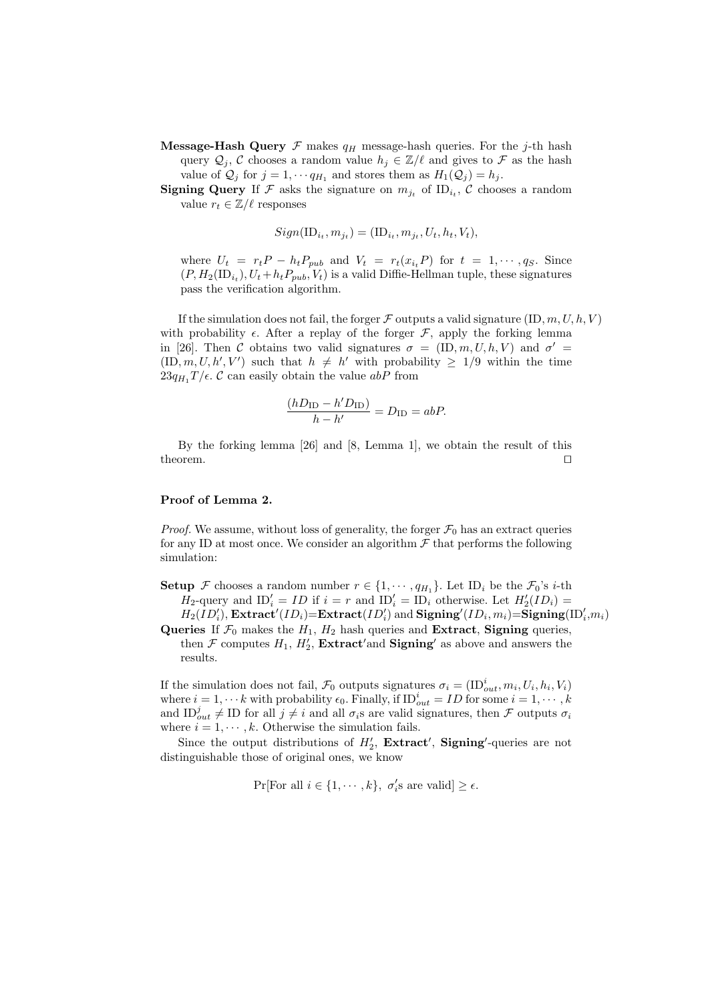- **Message-Hash Query**  $\mathcal F$  makes  $q_H$  message-hash queries. For the j-th hash query  $\mathcal{Q}_j$ , C chooses a random value  $h_j \in \mathbb{Z}/\ell$  and gives to F as the hash value of  $\mathcal{Q}_j$  for  $j = 1, \dots q_{H_1}$  and stores them as  $H_1(\mathcal{Q}_j) = h_j$ .
- **Signing Query** If F asks the signature on  $m_{j_t}$  of ID<sub>i<sub>t</sub></sub>, C chooses a random value  $r_t \in \mathbb{Z}/\ell$  responses

$$
Sign(\text{ID}_{i_t}, m_{j_t}) = (\text{ID}_{i_t}, m_{j_t}, U_t, h_t, V_t),
$$

where  $U_t = r_t P - h_t P_{pub}$  and  $V_t = r_t(x_{i_t} P)$  for  $t = 1, \dots, q_S$ . Since  $(P, H_2($ ID<sub>i<sub>t</sub></sub>), U<sub>t</sub> + h<sub>t</sub>P<sub>pub</sub>, V<sub>t</sub>) is a valid Diffie-Hellman tuple, these signatures pass the verification algorithm.

If the simulation does not fail, the forger  $\mathcal F$  outputs a valid signature  $(ID, m, U, h, V)$ with probability  $\epsilon$ . After a replay of the forger  $\mathcal{F}$ , apply the forking lemma in [26]. Then C obtains two valid signatures  $\sigma = (\text{ID}, m, U, h, V)$  and  $\sigma' =$  $(ID, m, U, h', V')$  such that  $h \neq h'$  with probability  $\geq 1/9$  within the time  $23q_H$ ,  $T/\epsilon$ . C can easily obtain the value abP from

$$
\frac{(hD_{\text{ID}} - h'D_{\text{ID}})}{h - h'} = D_{\text{ID}} = abP.
$$

By the forking lemma [26] and [8, Lemma 1], we obtain the result of this theorem.  $\Box$ 

### Proof of Lemma 2.

*Proof.* We assume, without loss of generality, the forger  $\mathcal{F}_0$  has an extract queries for any ID at most once. We consider an algorithm  $\mathcal F$  that performs the following simulation:

- **Setup** F chooses a random number  $r \in \{1, \dots, q_{H_1}\}$ . Let  $ID_i$  be the  $\mathcal{F}_0$ 's *i*-th  $H_2$ -query and  $ID'_i = ID$  if  $i = r$  and  $ID'_i = ID_i$  otherwise. Let  $H'_2(ID_i) =$  $H_2(\overline{ID'_i})$ , Extract $^\prime(ID_i){=}\text{Extract}(ID'_i)$  and  $\textbf{Signing}'(ID_i, m_i){=}\textbf{Signing}(\text{ID}'_i, m_i)$
- Queries If  $\mathcal{F}_0$  makes the  $H_1$ ,  $H_2$  hash queries and Extract, Signing queries, then F computes  $H_1$ ,  $H_2'$ , **Extract'and Signing'** as above and answers the results.

If the simulation does not fail,  $\mathcal{F}_0$  outputs signatures  $\sigma_i = (\text{ID}_{out}^i, m_i, U_i, h_i, V_i)$ where  $i = 1, \dots k$  with probability  $\epsilon_0$ . Finally, if  $ID_{out}^i = ID$  for some  $i = 1, \dots, k$ and  $ID_{out}^j \neq ID$  for all  $j \neq i$  and all  $\sigma_i$ s are valid signatures, then F outputs  $\sigma_i$ where  $i = 1, \dots, k$ . Otherwise the simulation fails.

Since the output distributions of  $H_2'$ , **Extract'**, **Signing'**-queries are not distinguishable those of original ones, we know

$$
\Pr[\text{For all } i \in \{1, \cdots, k\}, \ \sigma_i's \text{ are valid}] \ge \epsilon.
$$